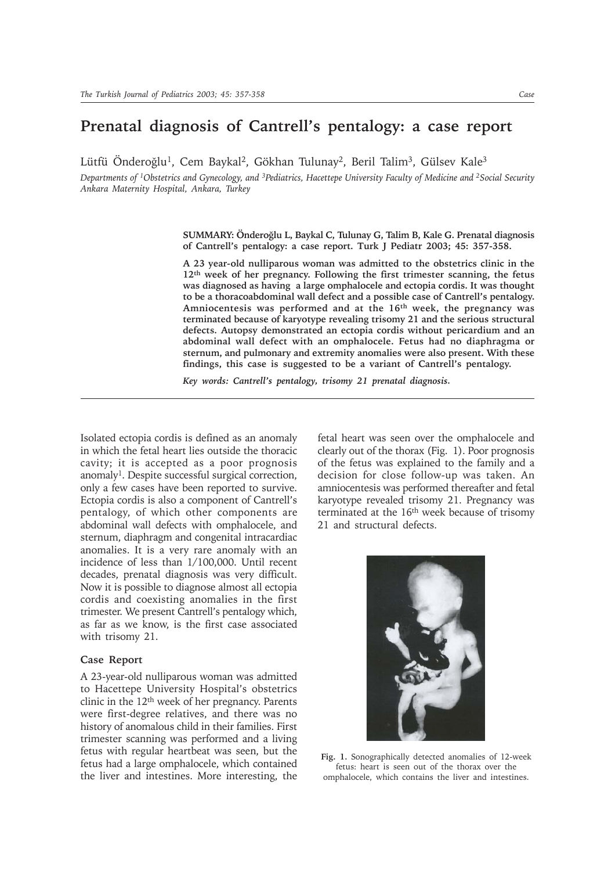## **Prenatal diagnosis of Cantrell's pentalogy: a case report**

Lütfü Önderoğlu<sup>1</sup>, Cem Baykal<sup>2</sup>, Gökhan Tulunay<sup>2</sup>, Beril Talim<sup>3</sup>, Gülsev Kale<sup>3</sup>

*Departments of 1Obstetrics and Gynecology, and 3Pediatrics, Hacettepe University Faculty of Medicine and 2Social Security Ankara Maternity Hospital, Ankara, Turkey*

> **SUMMARY: Önderoðlu L, Baykal C, Tulunay G, Talim B, Kale G. Prenatal diagnosis of Cantrell's pentalogy: a case report. Turk J Pediatr 2003; 45: 357-358.**

> **A 23 year-old nulliparous woman was admitted to the obstetrics clinic in the 12th week of her pregnancy. Following the first trimester scanning, the fetus was diagnosed as having a large omphalocele and ectopia cordis. It was thought to be a thoracoabdominal wall defect and a possible case of Cantrell's pentalogy. Amniocentesis was performed and at the 16th week, the pregnancy was terminated because of karyotype revealing trisomy 21 and the serious structural defects. Autopsy demonstrated an ectopia cordis without pericardium and an abdominal wall defect with an omphalocele. Fetus had no diaphragma or sternum, and pulmonary and extremity anomalies were also present. With these findings, this case is suggested to be a variant of Cantrell's pentalogy.**

*Key words: Cantrell's pentalogy, trisomy 21 prenatal diagnosis.*

Isolated ectopia cordis is defined as an anomaly in which the fetal heart lies outside the thoracic cavity; it is accepted as a poor prognosis anomaly<sup>1</sup>. Despite successful surgical correction, only a few cases have been reported to survive. Ectopia cordis is also a component of Cantrell's pentalogy, of which other components are abdominal wall defects with omphalocele, and sternum, diaphragm and congenital intracardiac anomalies. It is a very rare anomaly with an incidence of less than 1/100,000. Until recent decades, prenatal diagnosis was very difficult. Now it is possible to diagnose almost all ectopia cordis and coexisting anomalies in the first trimester. We present Cantrell's pentalogy which, as far as we know, is the first case associated with trisomy 21.

## **Case Report**

A 23-year-old nulliparous woman was admitted to Hacettepe University Hospital's obstetrics clinic in the 12th week of her pregnancy. Parents were first-degree relatives, and there was no history of anomalous child in their families. First trimester scanning was performed and a living fetus with regular heartbeat was seen, but the fetus had a large omphalocele, which contained the liver and intestines. More interesting, the

fetal heart was seen over the omphalocele and clearly out of the thorax (Fig. 1). Poor prognosis of the fetus was explained to the family and a decision for close follow-up was taken. An amniocentesis was performed thereafter and fetal karyotype revealed trisomy 21. Pregnancy was terminated at the 16<sup>th</sup> week because of trisomy 21 and structural defects.

**Fig. 1.** Sonographically detected anomalies of 12-week fetus: heart is seen out of the thorax over the omphalocele, which contains the liver and intestines.